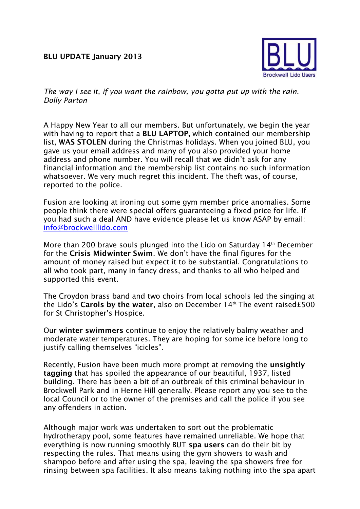

*The way I see it, if you want the rainbow, you gotta put up with the rain. Dolly Parton*

A Happy New Year to all our members. But unfortunately, we begin the year with having to report that a **BLU LAPTOP,** which contained our membership list, **WAS STOLEN** during the Christmas holidays. When you joined BLU, you gave us your email address and many of you also provided your home address and phone number. You will recall that we didn't ask for any financial information and the membership list contains no such information whatsoever. We very much regret this incident. The theft was, of course, reported to the police.

Fusion are looking at ironing out some gym member price anomalies. Some people think there were special offers guaranteeing a fixed price for life. If you had such a deal AND have evidence please let us know ASAP by email: [info@brockwelllido.com](mailto:info@brockwelllido.com)

More than 200 brave souls plunged into the Lido on Saturday 14th December for the **Crisis Midwinter Swim**. We don't have the final figures for the amount of money raised but expect it to be substantial. Congratulations to all who took part, many in fancy dress, and thanks to all who helped and supported this event.

The Croydon brass band and two choirs from local schools led the singing at the Lido's **Carols by the water**, also on December 14th. The event raised£500 for St Christopher's Hospice.

Our **winter swimmers** continue to enjoy the relatively balmy weather and moderate water temperatures. They are hoping for some ice before long to justify calling themselves "icicles".

Recently, Fusion have been much more prompt at removing the **unsightly tagging** that has spoiled the appearance of our beautiful, 1937, listed building. There has been a bit of an outbreak of this criminal behaviour in Brockwell Park and in Herne Hill generally. Please report any you see to the local Council or to the owner of the premises and call the police if you see any offenders in action.

Although major work was undertaken to sort out the problematic hydrotherapy pool, some features have remained unreliable. We hope that everything is now running smoothly BUT **spa users** can do their bit by respecting the rules. That means using the gym showers to wash and shampoo before and after using the spa, leaving the spa showers free for rinsing between spa facilities. It also means taking nothing into the spa apart